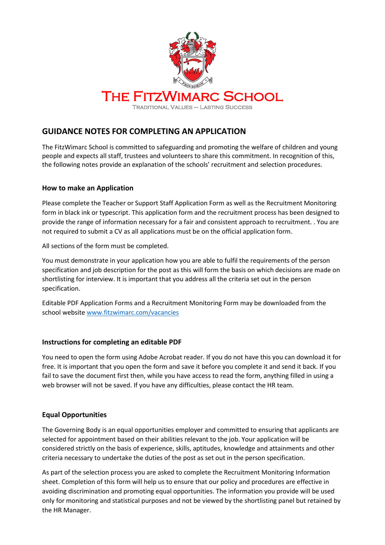

# **GUIDANCE NOTES FOR COMPLETING AN APPLICATION**

The FitzWimarc School is committed to safeguarding and promoting the welfare of children and young people and expects all staff, trustees and volunteers to share this commitment. In recognition of this, the following notes provide an explanation of the schools' recruitment and selection procedures.

## **How to make an Application**

Please complete the Teacher or Support Staff Application Form as well as the Recruitment Monitoring form in black ink or typescript. This application form and the recruitment process has been designed to provide the range of information necessary for a fair and consistent approach to recruitment. . You are not required to submit a CV as all applications must be on the official application form.

All sections of the form must be completed.

You must demonstrate in your application how you are able to fulfil the requirements of the person specification and job description for the post as this will form the basis on which decisions are made on shortlisting for interview. It is important that you address all the criteria set out in the person specification.

Editable PDF Application Forms and a Recruitment Monitoring Form may be downloaded from the school website [www.fitzwimarc.com/vacancies](http://www.fitzwimarc.com/vacancies)

# **Instructions for completing an editable PDF**

You need to open the form using Adobe Acrobat reader. If you do not have this you can download it for free. It is important that you open the form and save it before you complete it and send it back. If you fail to save the document first then, while you have access to read the form, anything filled in using a web browser will not be saved. If you have any difficulties, please contact the HR team.

# **Equal Opportunities**

The Governing Body is an equal opportunities employer and committed to ensuring that applicants are selected for appointment based on their abilities relevant to the job. Your application will be considered strictly on the basis of experience, skills, aptitudes, knowledge and attainments and other criteria necessary to undertake the duties of the post as set out in the person specification.

As part of the selection process you are asked to complete the Recruitment Monitoring Information sheet. Completion of this form will help us to ensure that our policy and procedures are effective in avoiding discrimination and promoting equal opportunities. The information you provide will be used only for monitoring and statistical purposes and not be viewed by the shortlisting panel but retained by the HR Manager.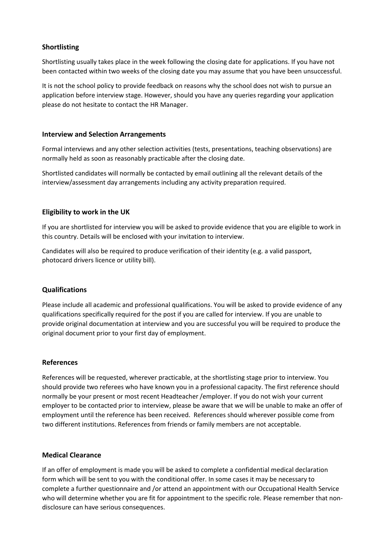## **Shortlisting**

Shortlisting usually takes place in the week following the closing date for applications. If you have not been contacted within two weeks of the closing date you may assume that you have been unsuccessful.

It is not the school policy to provide feedback on reasons why the school does not wish to pursue an application before interview stage. However, should you have any queries regarding your application please do not hesitate to contact the HR Manager.

#### **Interview and Selection Arrangements**

Formal interviews and any other selection activities (tests, presentations, teaching observations) are normally held as soon as reasonably practicable after the closing date.

Shortlisted candidates will normally be contacted by email outlining all the relevant details of the interview/assessment day arrangements including any activity preparation required.

## **Eligibility to work in the UK**

If you are shortlisted for interview you will be asked to provide evidence that you are eligible to work in this country. Details will be enclosed with your invitation to interview.

Candidates will also be required to produce verification of their identity (e.g. a valid passport, photocard drivers licence or utility bill).

#### **Qualifications**

Please include all academic and professional qualifications. You will be asked to provide evidence of any qualifications specifically required for the post if you are called for interview. If you are unable to provide original documentation at interview and you are successful you will be required to produce the original document prior to your first day of employment.

#### **References**

References will be requested, wherever practicable, at the shortlisting stage prior to interview. You should provide two referees who have known you in a professional capacity. The first reference should normally be your present or most recent Headteacher /employer. If you do not wish your current employer to be contacted prior to interview, please be aware that we will be unable to make an offer of employment until the reference has been received. References should wherever possible come from two different institutions. References from friends or family members are not acceptable.

#### **Medical Clearance**

If an offer of employment is made you will be asked to complete a confidential medical declaration form which will be sent to you with the conditional offer. In some cases it may be necessary to complete a further questionnaire and /or attend an appointment with our Occupational Health Service who will determine whether you are fit for appointment to the specific role. Please remember that nondisclosure can have serious consequences.